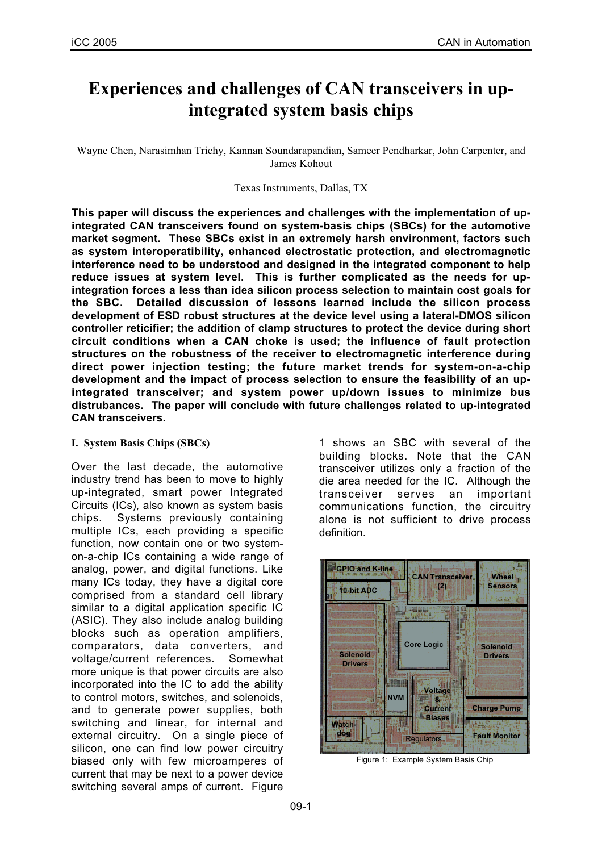# **Experiences and challenges of CAN transceivers in upintegrated system basis chips**

Wayne Chen, Narasimhan Trichy, Kannan Soundarapandian, Sameer Pendharkar, John Carpenter, and James Kohout

Texas Instruments, Dallas, TX

**This paper will discuss the experiences and challenges with the implementation of upintegrated CAN transceivers found on system-basis chips (SBCs) for the automotive market segment. These SBCs exist in an extremely harsh environment, factors such as system interoperatibility, enhanced electrostatic protection, and electromagnetic interference need to be understood and designed in the integrated component to help reduce issues at system level. This is further complicated as the needs for upintegration forces a less than idea silicon process selection to maintain cost goals for the SBC. Detailed discussion of lessons learned include the silicon process development of ESD robust structures at the device level using a lateral-DMOS silicon controller reticifier; the addition of clamp structures to protect the device during short circuit conditions when a CAN choke is used; the influence of fault protection structures on the robustness of the receiver to electromagnetic interference during direct power injection testing; the future market trends for system-on-a-chip development and the impact of process selection to ensure the feasibility of an upintegrated transceiver; and system power up/down issues to minimize bus distrubances. The paper will conclude with future challenges related to up-integrated CAN transceivers.**

#### **I. System Basis Chips (SBCs)**

Over the last decade, the automotive industry trend has been to move to highly up-integrated, smart power Integrated Circuits (ICs), also known as system basis chips. Systems previously containing multiple ICs, each providing a specific function, now contain one or two systemon-a-chip ICs containing a wide range of analog, power, and digital functions. Like many ICs today, they have a digital core comprised from a standard cell library similar to a digital application specific IC (ASIC). They also include analog building blocks such as operation amplifiers, comparators, data converters, and voltage/current references. Somewhat more unique is that power circuits are also incorporated into the IC to add the ability to control motors, switches, and solenoids, and to generate power supplies, both switching and linear, for internal and external circuitry. On a single piece of silicon, one can find low power circuitry biased only with few microamperes of current that may be next to a power device switching several amps of current. Figure

1 shows an SBC with several of the building blocks. Note that the CAN transceiver utilizes only a fraction of the die area needed for the IC. Although the transceiver serves an important communications function, the circuitry alone is not sufficient to drive process definition.



Figure 1: Example System Basis Chip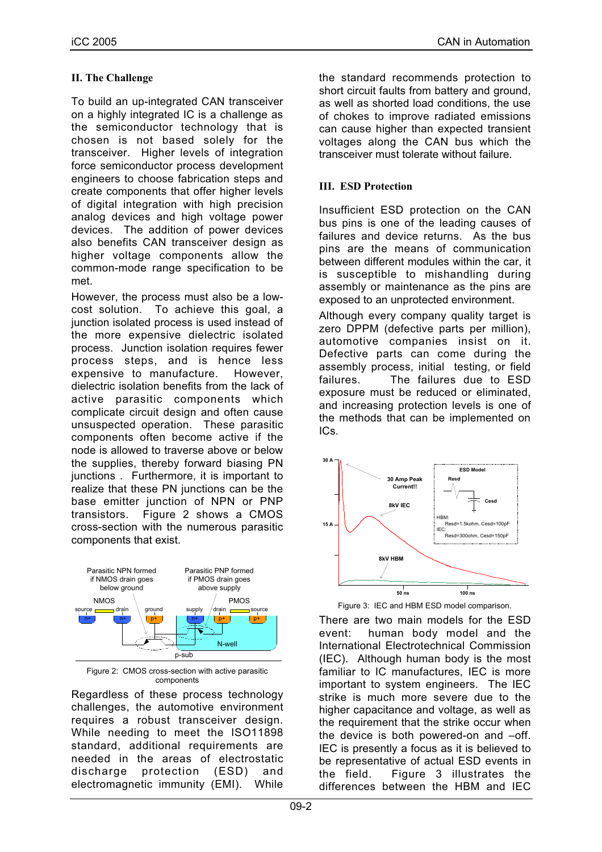### **II. The Challenge**

To build an up-integrated CAN transceiver on a highly integrated IC is a challenge as the semiconductor technology that is chosen is not based solely for the transceiver. Higher levels of integration force semiconductor process development engineers to choose fabrication steps and create components that offer higher levels of digital integration with high precision analog devices and high voltage power devices. The addition of power devices also benefits CAN transceiver design as higher voltage components allow the common-mode range specification to be met.

However, the process must also be a lowcost solution. To achieve this goal, a junction isolated process is used instead of the more expensive dielectric isolated process. Junction isolation requires fewer process steps, and is hence less expensive to manufacture. However, dielectric isolation benefits from the lack of active parasitic components which complicate circuit design and often cause unsuspected operation. These parasitic components often become active if the node is allowed to traverse above or below the supplies, thereby forward biasing PN junctions . Furthermore, it is important to realize that these PN junctions can be the base emitter junction of NPN or PNP transistors. Figure 2 shows a CMOS cross-section with the numerous parasitic components that exist.



Figure 2: CMOS cross-section with active parasitic components

Regardless of these process technology challenges, the automotive environment requires a robust transceiver design. While needing to meet the ISO11898 standard, additional requirements are needed in the areas of electrostatic discharge protection (ESD) and electromagnetic immunity (EMI). While

the standard recommends protection to short circuit faults from battery and ground, as well as shorted load conditions, the use of chokes to improve radiated emissions can cause higher than expected transient voltages along the CAN bus which the transceiver must tolerate without failure.

#### **III. ESD Protection**

Insufficient ESD protection on the CAN bus pins is one of the leading causes of failures and device returns. As the bus pins are the means of communication between different modules within the car, it is susceptible to mishandling during assembly or maintenance as the pins are exposed to an unprotected environment.

Although every company quality target is zero DPPM (defective parts per million), automotive companies insist on it. Defective parts can come during the assembly process, initial testing, or field failures. The failures due to ESD exposure must be reduced or eliminated, and increasing protection levels is one of the methods that can be implemented on ICs.





There are two main models for the ESD event: human body model and the International Electrotechnical Commission (IEC). Although human body is the most familiar to IC manufactures, IEC is more important to system engineers. The IEC strike is much more severe due to the higher capacitance and voltage, as well as the requirement that the strike occur when the device is both powered-on and –off. IEC is presently a focus as it is believed to be representative of actual ESD events in the field. Figure 3 illustrates the differences between the HBM and IEC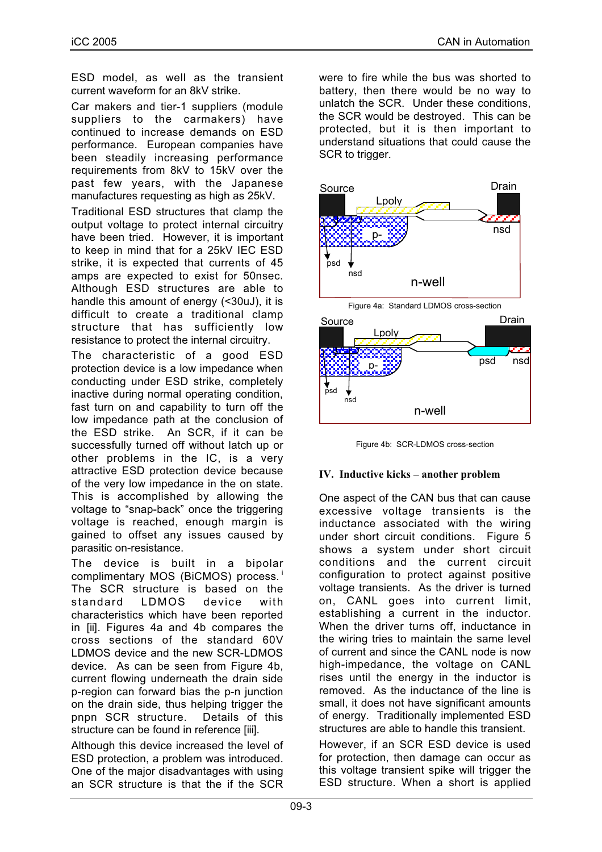ESD model, as well as the transient current waveform for an 8kV strike.

Car makers and tier-1 suppliers (module suppliers to the carmakers) have continued to increase demands on ESD performance. European companies have been steadily increasing performance requirements from 8kV to 15kV over the past few years, with the Japanese manufactures requesting as high as 25kV.

Traditional ESD structures that clamp the output voltage to protect internal circuitry have been tried. However, it is important to keep in mind that for a 25kV IEC ESD strike, it is expected that currents of 45 amps are expected to exist for 50nsec. Although ESD structures are able to handle this amount of energy (<30uJ), it is difficult to create a traditional clamp structure that has sufficiently low resistance to protect the internal circuitry.

The characteristic of a good ESD protection device is a low impedance when conducting under ESD strike, completely inactive during normal operating condition, fast turn on and capability to turn off the low impedance path at the conclusion of the ESD strike. An SCR, if it can be successfully turned off without latch up or other problems in the IC, is a very attractive ESD protection device because of the very low impedance in the on state. This is accomplished by allowing the voltage to "snap-back" once the triggering voltage is reached, enough margin is gained to offset any issues caused by parasitic on-resistance.

The device is built in a bipolar complimentary MOS (BiCMOS) process.<sup>1</sup> The SCR structure is based on the standard LDMOS device with characteristics which have been reported in [ii]. Figures 4a and 4b compares the cross sections of the standard 60V LDMOS device and the new SCR-LDMOS device. As can be seen from Figure 4b, current flowing underneath the drain side p-region can forward bias the p-n junction on the drain side, thus helping trigger the pnpn SCR structure. Details of this structure can be found in reference [iii].

Although this device increased the level of ESD protection, a problem was introduced. One of the major disadvantages with using an SCR structure is that the if the SCR

were to fire while the bus was shorted to battery, then there would be no way to unlatch the SCR. Under these conditions, the SCR would be destroyed. This can be protected, but it is then important to understand situations that could cause the SCR to trigger.



Figure 4b: SCR-LDMOS cross-section

#### **IV. Inductive kicks – another problem**

One aspect of the CAN bus that can cause excessive voltage transients is the inductance associated with the wiring under short circuit conditions. Figure 5 shows a system under short circuit conditions and the current circuit configuration to protect against positive voltage transients. As the driver is turned on, CANL goes into current limit, establishing a current in the inductor. When the driver turns off, inductance in the wiring tries to maintain the same level of current and since the CANL node is now high-impedance, the voltage on CANL rises until the energy in the inductor is removed. As the inductance of the line is small, it does not have significant amounts of energy. Traditionally implemented ESD structures are able to handle this transient.

However, if an SCR ESD device is used for protection, then damage can occur as this voltage transient spike will trigger the ESD structure. When a short is applied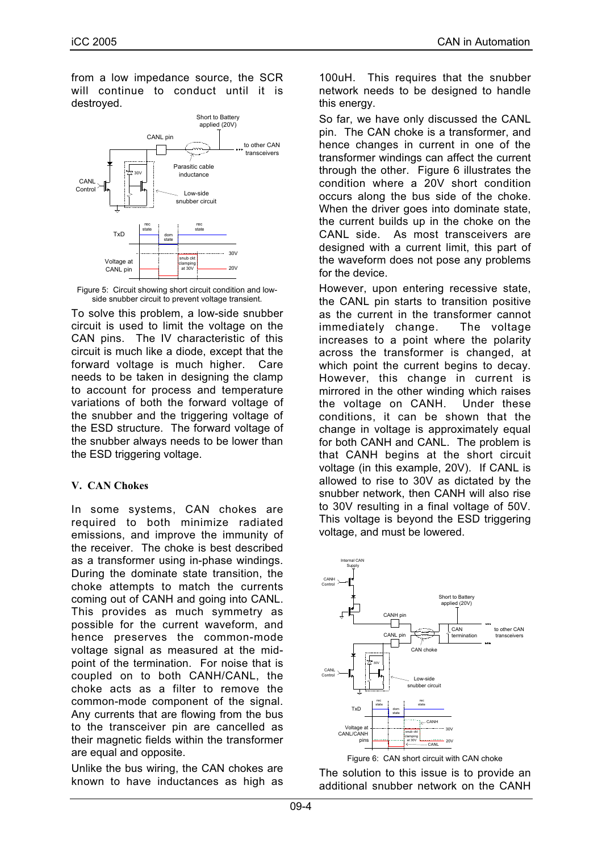from a low impedance source, the SCR will continue to conduct until it is destroyed.



Figure 5: Circuit showing short circuit condition and lowside snubber circuit to prevent voltage transient.

To solve this problem, a low-side snubber circuit is used to limit the voltage on the CAN pins. The IV characteristic of this circuit is much like a diode, except that the forward voltage is much higher. Care needs to be taken in designing the clamp to account for process and temperature variations of both the forward voltage of the snubber and the triggering voltage of the ESD structure. The forward voltage of the snubber always needs to be lower than the ESD triggering voltage.

#### **V. CAN Chokes**

In some systems, CAN chokes are required to both minimize radiated emissions, and improve the immunity of the receiver. The choke is best described as a transformer using in-phase windings. During the dominate state transition, the choke attempts to match the currents coming out of CANH and going into CANL. This provides as much symmetry as possible for the current waveform, and hence preserves the common-mode voltage signal as measured at the midpoint of the termination. For noise that is coupled on to both CANH/CANL, the choke acts as a filter to remove the common-mode component of the signal. Any currents that are flowing from the bus to the transceiver pin are cancelled as their magnetic fields within the transformer are equal and opposite.

Unlike the bus wiring, the CAN chokes are known to have inductances as high as 100uH. This requires that the snubber network needs to be designed to handle this energy.

So far, we have only discussed the CANL pin. The CAN choke is a transformer, and hence changes in current in one of the transformer windings can affect the current through the other. Figure 6 illustrates the condition where a 20V short condition occurs along the bus side of the choke. When the driver goes into dominate state, the current builds up in the choke on the CANL side. As most transceivers are designed with a current limit, this part of the waveform does not pose any problems for the device.

However, upon entering recessive state, the CANL pin starts to transition positive as the current in the transformer cannot immediately change. The voltage increases to a point where the polarity across the transformer is changed, at which point the current begins to decay. However, this change in current is mirrored in the other winding which raises the voltage on CANH. Under these conditions, it can be shown that the change in voltage is approximately equal for both CANH and CANL. The problem is that CANH begins at the short circuit voltage (in this example, 20V). If CANL is allowed to rise to 30V as dictated by the snubber network, then CANH will also rise to 30V resulting in a final voltage of 50V. This voltage is bevond the ESD triggering voltage, and must be lowered.



Figure 6: CAN short circuit with CAN choke

The solution to this issue is to provide an additional snubber network on the CANH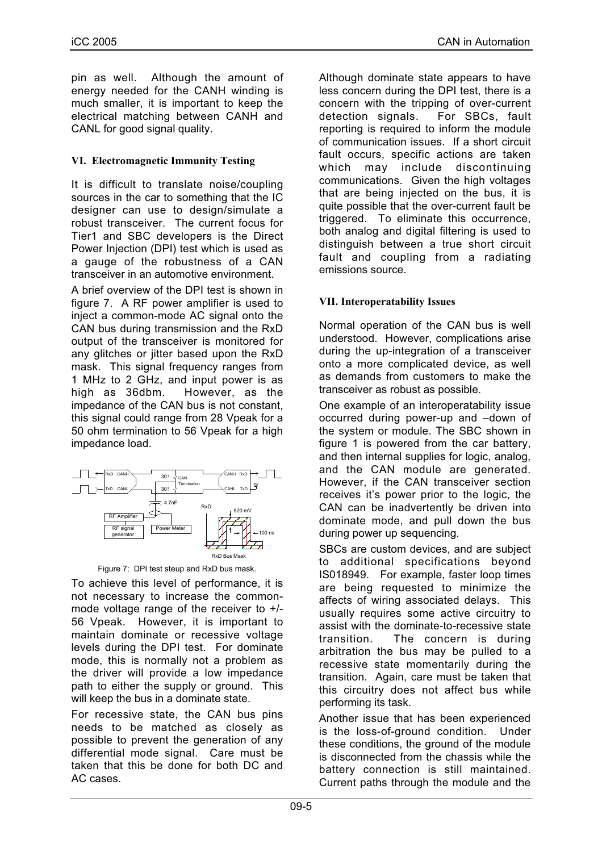pin as well. Although the amount of energy needed for the CANH winding is much smaller, it is important to keep the electrical matching between CANH and CANL for good signal quality.

#### **VI. Electromagnetic Immunity Testing**

It is difficult to translate noise/coupling sources in the car to something that the IC designer can use to design/simulate a robust transceiver. The current focus for Tier1 and SBC developers is the Direct Power Injection (DPI) test which is used as a gauge of the robustness of a CAN transceiver in an automotive environment.

A brief overview of the DPI test is shown in figure 7. A RF power amplifier is used to inject a common-mode AC signal onto the CAN bus during transmission and the RxD output of the transceiver is monitored for any glitches or jitter based upon the RxD mask. This signal frequency ranges from 1 MHz to 2 GHz, and input power is as high as 36dbm. However, as the impedance of the CAN bus is not constant, this signal could range from 28 Vpeak for a 50 ohm termination to 56 Vpeak for a high impedance load.



Figure 7: DPI test steup and RxD bus mask.

To achieve this level of performance, it is not necessary to increase the commonmode voltage range of the receiver to +/- 56 Vpeak. However, it is important to maintain dominate or recessive voltage levels during the DPI test. For dominate mode, this is normally not a problem as the driver will provide a low impedance path to either the supply or ground. This will keep the bus in a dominate state.

For recessive state, the CAN bus pins needs to be matched as closely as possible to prevent the generation of any differential mode signal. Care must be taken that this be done for both DC and AC cases.

Although dominate state appears to have less concern during the DPI test, there is a concern with the tripping of over-current detection signals. For SBCs, fault reporting is required to inform the module of communication issues. If a short circuit fault occurs, specific actions are taken which may include discontinuing communications. Given the high voltages that are being injected on the bus, it is quite possible that the over-current fault be triggered. To eliminate this occurrence, both analog and digital filtering is used to distinguish between a true short circuit fault and coupling from a radiating emissions source.

## **VII. Interoperatability Issues**

Normal operation of the CAN bus is well understood. However, complications arise during the up-integration of a transceiver onto a more complicated device, as well as demands from customers to make the transceiver as robust as possible.

One example of an interoperatability issue occurred during power-up and –down of the system or module. The SBC shown in figure 1 is powered from the car battery, and then internal supplies for logic, analog, and the CAN module are generated. However, if the CAN transceiver section receives it's power prior to the logic, the CAN can be inadvertently be driven into dominate mode, and pull down the bus during power up sequencing.

SBCs are custom devices, and are subject to additional specifications beyond IS018949. For example, faster loop times are being requested to minimize the affects of wiring associated delays. This usually requires some active circuitry to assist with the dominate-to-recessive state transition. The concern is during arbitration the bus may be pulled to a recessive state momentarily during the transition. Again, care must be taken that this circuitry does not affect bus while performing its task.

Another issue that has been experienced is the loss-of-ground condition. Under these conditions, the ground of the module is disconnected from the chassis while the battery connection is still maintained. Current paths through the module and the